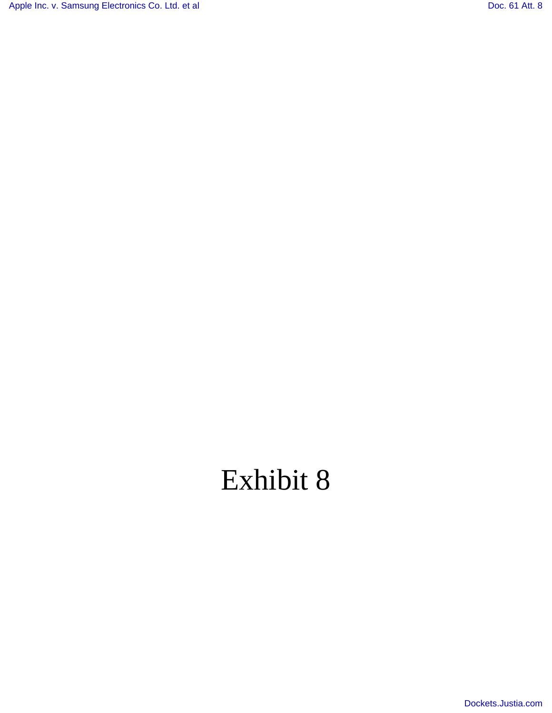[Apple Inc. v. Samsung Electronics Co. Ltd. et al](http://dockets.justia.com/docket/california/candce/5:2011cv01846/239768/) [Doc. 61 Att. 8](http://docs.justia.com/cases/federal/district-courts/california/candce/5:2011cv01846/239768/61/8.html)

# Exhibit 8

[Dockets.Justia.com](http://dockets.justia.com/)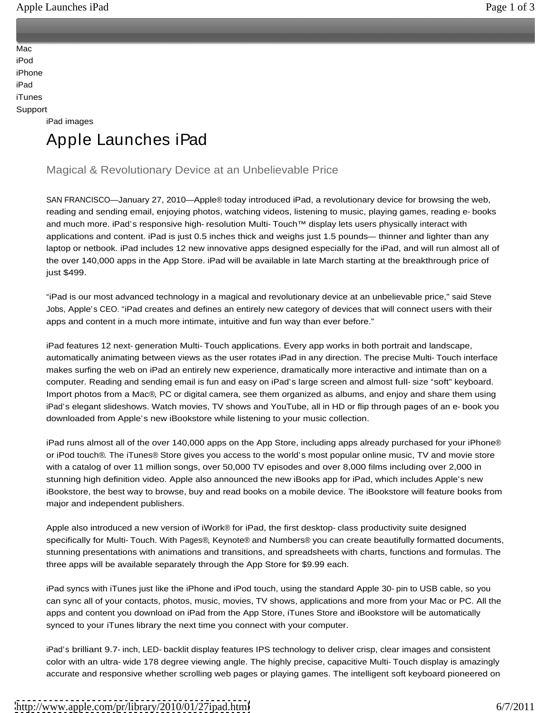<u>Application of the contract of the contract of the contract of the contract of the contract of the contract of the contract of the contract of the contract of the contract of the contract of the contract of the contract o</u>

<u>Store and the store and the store and the store and the store and the store and the store and the store and the store</u> Mac and the contract of the contract of the contract of the contract of the contract of the contract of the contract of the contract of the contract of the contract of the contract of the contract of the contract of the co iPod and the contract of the contract of the contract of the contract of the contract of the contract of the contract of the contract of the contract of the contract of the contract of the contract of the contract of the c iPhone **in the case of the case of the case of the case of the case of the case of the case of the case of the case of the case of the case of the case of the case of the case of the case of the case of the case of the cas** iPad and the contract of the contract of the contract of the contract of the contract of the contract of the contract of the contract of the contract of the contract of the contract of the contract of the contract of the c iTunes and the contract of the contract of the contract of the contract of the contract of the contract of the contract of the contract of the contract of the contract of the contract of the contract of the contract of the Support

iPad images

# Apple Launches iPad

## Magical & Revolutionary Device at an Unbelievable Price

SAN FRANCISCO—January 27, 2010—Apple® today introduced iPad, a revolutionary device for browsing the web, reading and sending email, enjoying photos, watching videos, listening to music, playing games, reading e- books and much more. iPad's responsive high- resolution Multi- Touch™ display lets users physically interact with applications and content. iPad is just 0.5 inches thick and weighs just 1.5 pounds— thinner and lighter than any laptop or netbook. iPad includes 12 new innovative apps designed especially for the iPad, and will run almost all of the over 140,000 apps in the App Store. iPad will be available in late March starting at the breakthrough price of

just \$499.<br>"iPad is our most advanced technology in a magical and revolutionary device at an unbelievable price," said Steve Jobs, Apple's CEO. "iPad creates and defines an entirely new category of devices that will connect users with their apps and content in a much more intimate, intuitive and fun way than ever before."

iPad features 12 next- generation Multi- Touch applications. Every app works in both portrait and landscape, automatically animating between views as the user rotates iPad in any direction. The precise Multi- Touch interface makes surfing the web on iPad an entirely new experience, dramatically more interactive and intimate than on a computer. Reading and sending email is fun and easy on iPad's large screen and almost full- size "soft" keyboard. Import photos from a Mac®, PC or digital camera, see them organized as albums, and enjoy and share them using iPad's elegant slideshows. Watch movies, TV shows and YouTube, all in HD or flip through pages of an e- book you downloaded from Apple's new iBookstore while listening to your music collection.

iPad runs almost all of the over 140,000 apps on the App Store, including apps already purchased for your iPhone® or iPod touch®. The iTunes® Store gives you access to the world's most popular online music, TV and movie store with a catalog of over 11 million songs, over 50,000 TV episodes and over 8,000 films including over 2,000 in stunning high definition video. Apple also announced the new iBooks app for iPad, which includes Apple's new iBookstore, the best way to browse, buy and read books on a mobile device. The iBookstore will feature books from major and independent publishers.

Apple also introduced a new version of iWork® for iPad, the first desktop- class productivity suite designed specifically for Multi- Touch. With Pages®, Keynote® and Numbers® you can create beautifully formatted documents, stunning presentations with animations and transitions, and spreadsheets with charts, functions and formulas. The three apps will be available separately through the App Store for \$9.99 each.

iPad syncs with iTunes just like the iPhone and iPod touch, using the standard Apple 30- pin to USB cable, so you can sync all of your contacts, photos, music, movies, TV shows, applications and more from your Mac or PC. All the apps and content you download on iPad from the App Store, iTunes Store and iBookstore will be automatically synced to your iTunes library the next time you connect with your computer.

iPad's brilliant 9.7- inch, LED- backlit display features IPS technology to deliver crisp, clear images and consistent color with an ultra- wide 178 degree viewing angle. The highly precise, capacitive Multi- Touch display is amazingly accurate and responsive whether scrolling web pages or playing games. The intelligent soft keyboard pioneered on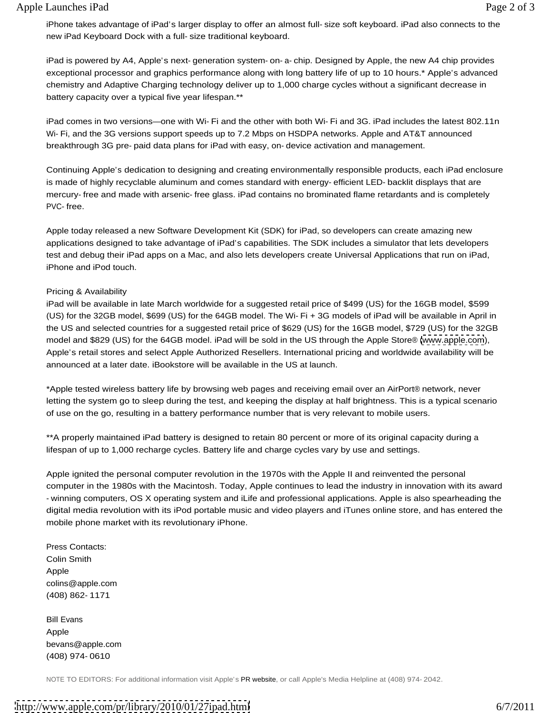iPhone takes advantage of iPad's larger display to offer an almost full- size soft keyboard. iPad also connects to the new iPad Keyboard Dock with a full- size traditional keyboard.

iPad is powered by A4, Apple's next- generation system- on- a- chip. Designed by Apple, the new A4 chip provides exceptional processor and graphics performance along with long battery life of up to 10 hours.\* Apple's advanced chemistry and Adaptive Charging technology deliver up to 1,000 charge cycles without a significant decrease in battery capacity over a typical five year lifespan.\*\*

iPad comes in two versions—one with Wi- Fi and the other with both Wi- Fi and 3G. iPad includes the latest 802.11n Wi- Fi, and the 3G versions support speeds up to 7.2 Mbps on HSDPA networks. Apple and AT&T announced breakthrough 3G pre- paid data plans for iPad with easy, on- device activation and management.

Continuing Apple's dedication to designing and creating environmentally responsible products, each iPad enclosure is made of highly recyclable aluminum and comes standard with energy- efficient LED- backlit displays that are mercury- free and made with arsenic- free glass. iPad contains no brominated flame retardants and is completely PVC- free.

Apple today released a new Software Development Kit (SDK) for iPad, so developers can create amazing new applications designed to take advantage of iPad's capabilities. The SDK includes a simulator that lets developers test and debug their iPad apps on a Mac, and also lets developers create Universal Applications that run on iPad, iPhone and iPod touch.

#### Pricing & Availability

iPad will be available in late March worldwide for a suggested retail price of \$499 (US) for the 16GB model, \$599 (US) for the 32GB model, \$699 (US) for the 64GB model. The Wi- Fi + 3G models of iPad will be available in April in the US and selected countries for a suggested retail price of \$629 (US) for the 16GB model, \$729 (US) for the 32GB model and \$829 (US) for the 64GB model. iPad will be sold in the US through the Apple Store® [\(www.apple.com](http://www.apple.com)), Apple's retail stores and select Apple Authorized Resellers. International pricing and worldwide availability will be announced at a later date. iBookstore will be available in the US at launch.

\*Apple tested wireless battery life by browsing web pages and receiving email over an AirPort® network, never letting the system go to sleep during the test, and keeping the display at half brightness. This is a typical scenario of use on the go, resulting in a battery performance number that is very relevant to mobile users.

\*\*A properly maintained iPad battery is designed to retain 80 percent or more of its original capacity during a lifespan of up to 1,000 recharge cycles. Battery life and charge cycles vary by use and settings.

Apple ignited the personal computer revolution in the 1970s with the Apple II and reinvented the personal computer in the 1980s with the Macintosh. Today, Apple continues to lead the industry in innovation with its award - winning computers, OS X operating system and iLife and professional applications. Apple is also spearheading the digital media revolution with its iPod portable music and video players and iTunes online store, and has entered the mobile phone market with its revolutionary iPhone.

Press Contacts: Colin Smith Apple and the contract of the contract of the contract of the contract of the contract of the contract of the contract of the contract of the contract of the contract of the contract of the contract of the contract of the colins@apple.com (408) 862- 1171

Bill Evans Apple and the contract of the contract of the contract of the contract of the contract of the contract of the contract of the contract of the contract of the contract of the contract of the contract of the contract of the bevans@apple.com (408) 974- 0610

NOTE TO EDITORS: For additional information visit Apple's PR website, or call Apple's Media Helpline at (408) 974- 2042.